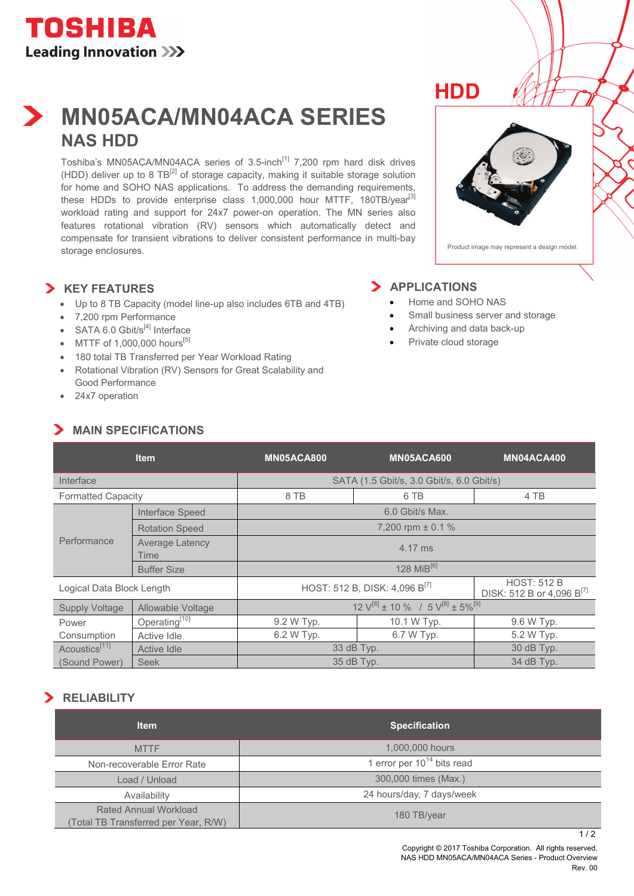# **MN05ACA/MN04ACA SERIES NAS HDD**

Toshiba's MN05ACA/MN04ACA series of 3.5-inch<sup>[1]</sup> 7,200 rpm hard disk drives (HDD) deliver up to 8  $TB^{[2]}$  of storage capacity, making it suitable storage solution for home and SOHO NAS applications. To address the demanding requirements, these HDDs to provide enterprise class  $1,000,000$  hour MTTF,  $180TB/year<sup>[3]</sup>$ workload rating and support for 24x7 power-on operation. The MN series also features rotational vibration (RV) sensors which automatically detect and compensate for transient vibrations to deliver consistent performance in multi-bay storage enclosures.

## **KEY FEATURES**

- Up to 8 TB Capacity (model line-up also includes 6TB and 4TB)
- 7,200 rpm Performance
- SATA 6.0 Gbit/ $s^{[4]}$  Interface
- $\bullet$  MTTF of 1,000,000 hours<sup>[5]</sup>
- 180 total TB Transferred per Year Workload Rating
- Rotational Vibration (RV) Sensors for Great Scalability and Good Performance
- 24x7 operation

## **MAIN SPECIFICATIONS**



## **APPLICATIONS**

• Home and SOHO NAS

**HDD**

- Small business server and storage
- Archiving and data back-up
- Private cloud storage

|                           | <b>Item</b>                    | <b>MN05ACA800</b>                                                | <b>MN05ACA600</b> | MN04ACA400                                                  |
|---------------------------|--------------------------------|------------------------------------------------------------------|-------------------|-------------------------------------------------------------|
| Interface                 |                                | SATA (1.5 Gbit/s, 3.0 Gbit/s, 6.0 Gbit/s)                        |                   |                                                             |
| <b>Formatted Capacity</b> |                                | 8 TB                                                             | 6 TB              | 4 TB                                                        |
| Performance               | Interface Speed                | 6.0 Gbit/s Max.                                                  |                   |                                                             |
|                           | <b>Rotation Speed</b>          | 7,200 rpm $\pm$ 0.1 %                                            |                   |                                                             |
|                           | <b>Average Latency</b><br>Time | 4.17 ms                                                          |                   |                                                             |
|                           | <b>Buffer Size</b>             | 128 MiB $^{[6]}$                                                 |                   |                                                             |
| Logical Data Block Length |                                | HOST: 512 B, DISK: 4,096 B <sup>[7]</sup>                        |                   | <b>HOST: 512 B</b><br>DISK: 512 B or 4,096 B <sup>[7]</sup> |
| <b>Supply Voltage</b>     | Allowable Voltage              | $12 \text{ V}^{[8]} \pm 10 \%$ / 5 $\text{V}^{[8]} \pm 5 \%$ [9] |                   |                                                             |
| Power                     | Operating <sup>[10]</sup>      | 9.2 W Typ.                                                       | 10.1 W Typ.       | 9.6 W Typ.                                                  |
| Consumption               | Active Idle                    | 6.2 W Typ.                                                       | 6.7 W Typ.        | 5.2 W Typ.                                                  |
| Acoustics <sup>[11]</sup> | Active Idle                    | 33 dB Typ.                                                       |                   | 30 dB Typ.                                                  |
| (Sound Power)             | <b>Seek</b>                    | 35 dB Typ.                                                       |                   | 34 dB Typ.                                                  |

# **RELIABILITY**

| <b>Item</b>                                                  | <b>Specification</b>            |
|--------------------------------------------------------------|---------------------------------|
| <b>MTTF</b>                                                  | 1,000,000 hours                 |
| Non-recoverable Error Rate                                   | 1 error per $10^{14}$ bits read |
| Load / Unload                                                | 300,000 times (Max.)            |
| Availability                                                 | 24 hours/day, 7 days/week       |
| Rated Annual Workload<br>Total TB Transferred per Year, R/W) | 180 TB/year                     |